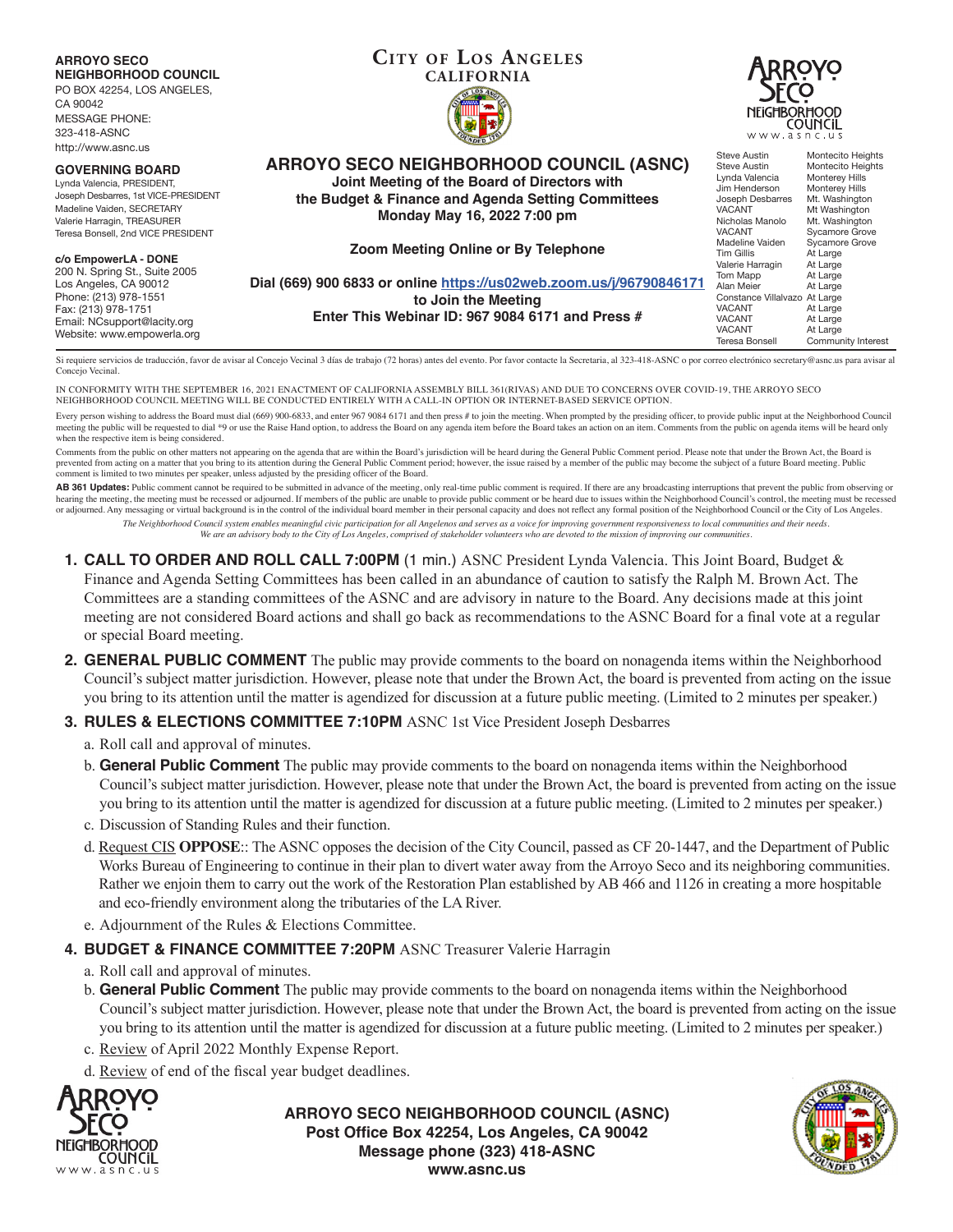| <b>ARROYO SECO</b><br><b>NEIGHBORHOOD COUNCIL</b><br>PO BOX 42254, LOS ANGELES,<br>CA 90042<br><b>MESSAGE PHONE:</b><br>323-418-ASNC<br>http://www.asnc.us | <b>CITY OF LOS ANGELES</b><br><b>CALIFORNIA</b>                     | <b>JRROYO</b><br><b>NEIGHBORHOOD</b><br>COUNCIL<br>www.asnc.us |                                         |
|------------------------------------------------------------------------------------------------------------------------------------------------------------|---------------------------------------------------------------------|----------------------------------------------------------------|-----------------------------------------|
| <b>GOVERNING BOARD</b>                                                                                                                                     | <b>ARROYO SECO NEIGHBORHOOD COUNCIL (ASNC)</b>                      | Steve Austin<br>Steve Austin                                   | Montecito Heights<br>Montecito Heights  |
| Lynda Valencia, PRESIDENT,                                                                                                                                 | Joint Meeting of the Board of Directors with                        | Lynda Valencia<br>Jim Henderson                                | <b>Monterey Hills</b><br>Monterey Hills |
| Joseph Desbarres, 1st VICE-PRESIDENT                                                                                                                       | the Budget & Finance and Agenda Setting Committees                  | Joseph Desbarres                                               | Mt. Washington                          |
| Madeline Vaiden, SECRETARY                                                                                                                                 | Monday May 16, 2022 7:00 pm                                         | <b>VACANT</b>                                                  | Mt Washington                           |
| Valerie Harragin, TREASURER<br>Teresa Bonsell, 2nd VICE PRESIDENT                                                                                          |                                                                     | Nicholas Manolo<br><b>VACANT</b>                               | Mt. Washington<br>Sycamore Grove        |
|                                                                                                                                                            |                                                                     | Madeline Vaiden                                                | Sycamore Grove                          |
| c/o EmpowerLA - DONE                                                                                                                                       | Zoom Meeting Online or By Telephone                                 | <b>Tim Gillis</b>                                              | At Large                                |
| 200 N. Spring St., Suite 2005                                                                                                                              |                                                                     | Valerie Harragin<br>Tom Mapp                                   | At Large<br>At Large                    |
| Los Angeles, CA 90012                                                                                                                                      | Dial (669) 900 6833 or online https://us02web.zoom.us/j/96790846171 | Alan Meier                                                     | At Large                                |
| Phone: (213) 978-1551                                                                                                                                      | to Join the Meeting                                                 | Constance Villalvazo At Large                                  |                                         |
| Fax: (213) 978-1751                                                                                                                                        | Enter This Webinar ID: 967 9084 6171 and Press #                    | <b>VACANT</b>                                                  | At Large                                |
| Email: NCsupport@lacity.org                                                                                                                                |                                                                     | <b>VACANT</b><br><b>VACANT</b>                                 | At Large<br>At Large                    |
| Website: www.empowerla.org                                                                                                                                 |                                                                     | Teresa Bonsell                                                 | Community Interest                      |

Si requiere servicios de traducción, favor de avisar al Concejo Vecinal 3 días de trabajo (72 horas) antes del evento. Por favor contacte la Secretaria, al 323-418-ASNC o por correo electrónico secretary@asnc.us para avisa Concejo Vecinal.

IN CONFORMITY WITH THE SEPTEMBER 16, 2021 ENACTMENT OF CALIFORNIA ASSEMBLY BILL 361(RIVAS) AND DUE TO CONCERNS OVER COVID-19, THE ARROYO SECO NEIGHBORHOOD COUNCIL MEETING WILL BE CONDUCTED ENTIRELY WITH A CALL-IN OPTION OR INTERNET-BASED SERVICE OPTION.

Every person wishing to address the Board must dial (669) 900-6833, and enter 967 9084 6171 and then press # to join the meeting. When prompted by the presiding officer, to provide public input at the Neighborhood Council meeting the public will be requested to dial \*9 or use the Raise Hand option, to address the Board on any agenda item before the Board takes an action on an item. Comments from the public on agenda items will be heard only when the respective item is being considered.

Comments from the public on other matters not appearing on the agenda that are within the Board's jurisdiction will be heard during the General Public Comment period. Please note that under the Brown Act, the Board is prevented from acting on a matter that you bring to its attention during the General Public Comment period; however, the issue raised by a member of the public may become the subject of a future Board meeting. Public comment is limited to two minutes per speaker, unless adjusted by the presiding officer of the Board.

AB 361 Updates: Public comment cannot be required to be submitted in advance of the meeting, only real-time public comment is required. If there are any broadcasting interruptions that prevent the public from observing or hearing the meeting, the meeting must be recessed or adjourned. If members of the public are unable to provide public comment or be heard due to issues within the Neighborhood Council's control, the meeting must be recesse or adjourned. Any messaging or virtual background is in the control of the individual board member in their personal capacity and does not reflect any formal position of the Neighborhood Council or the City of Los Angeles. *The Neighborhood Council system enables meaningful civic participation for all Angelenos and serves as a voice for improving government responsiveness to local communities and their needs.*

*We are an advisory body to the City of Los Angeles, comprised of stakeholder volunteers who are devoted to the mission of improving our communities.*

- **1. CALL TO ORDER AND ROLL CALL 7:00PM** (1 min.) ASNC President Lynda Valencia. This Joint Board, Budget & Finance and Agenda Setting Committees has been called in an abundance of caution to satisfy the Ralph M. Brown Act. The Committees are a standing committees of the ASNC and are advisory in nature to the Board. Any decisions made at this joint meeting are not considered Board actions and shall go back as recommendations to the ASNC Board for a final vote at a regular or special Board meeting.
- **2. GENERAL PUBLIC COMMENT** The public may provide comments to the board on nonagenda items within the Neighborhood Council's subject matter jurisdiction. However, please note that under the Brown Act, the board is prevented from acting on the issue you bring to its attention until the matter is agendized for discussion at a future public meeting. (Limited to 2 minutes per speaker.)

## **3. RULES & ELECTIONS COMMITTEE 7:10PM** ASNC 1st Vice President Joseph Desbarres

- a. Roll call and approval of minutes.
- b. **General Public Comment** The public may provide comments to the board on nonagenda items within the Neighborhood Council's subject matter jurisdiction. However, please note that under the Brown Act, the board is prevented from acting on the issue you bring to its attention until the matter is agendized for discussion at a future public meeting. (Limited to 2 minutes per speaker.)
- c. Discussion of Standing Rules and their function.
- d. Request CIS **OPPOSE**:: The ASNC opposes the decision of the City Council, passed as CF 20-1447, and the Department of Public Works Bureau of Engineering to continue in their plan to divert water away from the Arroyo Seco and its neighboring communities. Rather we enjoin them to carry out the work of the Restoration Plan established by AB 466 and 1126 in creating a more hospitable and eco-friendly environment along the tributaries of the LA River.
- e. Adjournment of the Rules & Elections Committee.
- **4. BUDGET & FINANCE COMMITTEE 7:20PM** ASNC Treasurer Valerie Harragin
	- a. Roll call and approval of minutes.
	- b. **General Public Comment** The public may provide comments to the board on nonagenda items within the Neighborhood Council's subject matter jurisdiction. However, please note that under the Brown Act, the board is prevented from acting on the issue you bring to its attention until the matter is agendized for discussion at a future public meeting. (Limited to 2 minutes per speaker.)
	- c. Review of April 2022 Monthly Expense Report.
	- d. Review of end of the fiscal year budget deadlines.



**ARROYO SECO NEIGHBORHOOD COUNCIL (ASNC) Post Office Box 42254, Los Angeles, CA 90042 Message phone (323) 418-ASNC www.asnc.us**